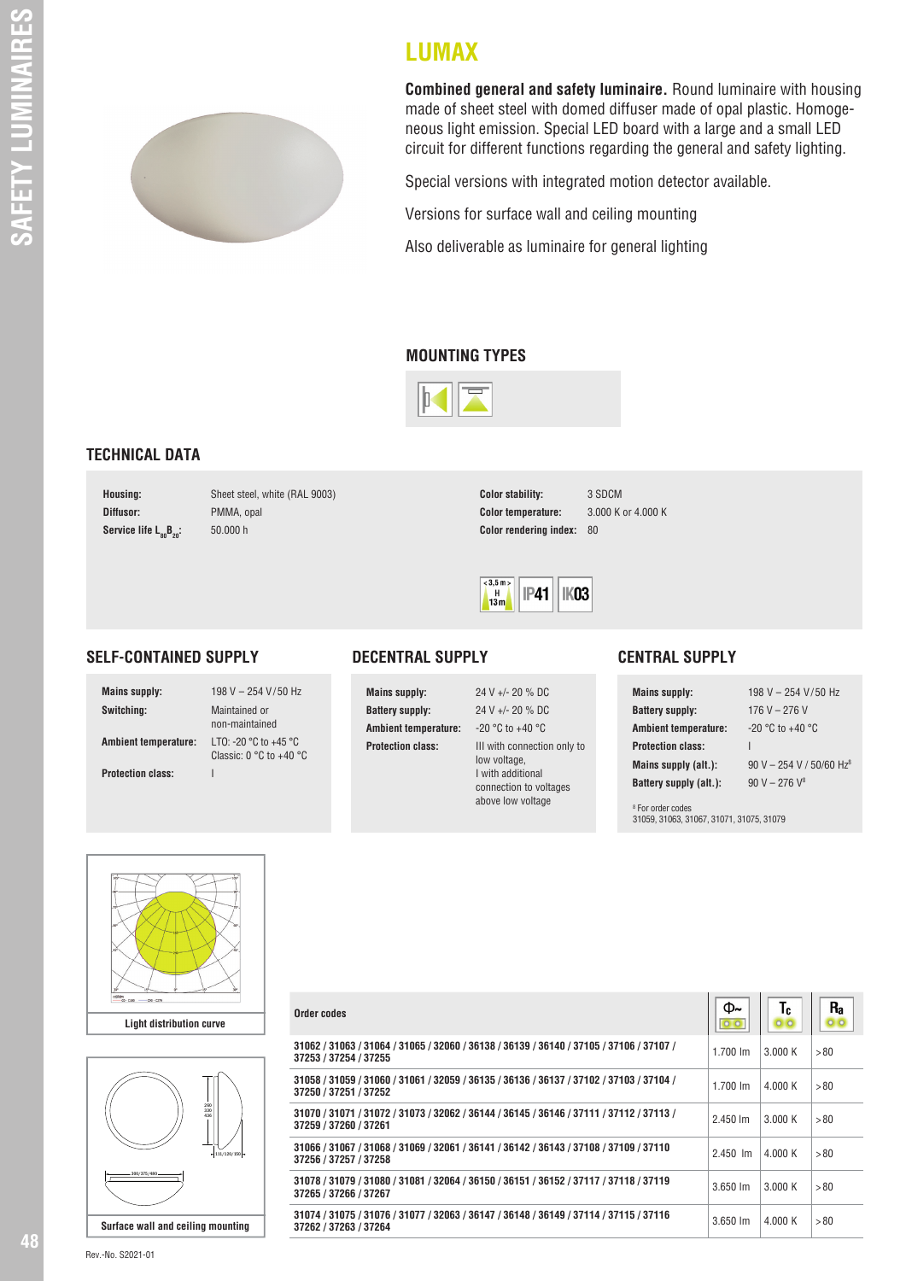

**Combined general and safety luminaire.** Round luminaire with housing made of sheet steel with domed diffuser made of opal plastic. Homogeneous light emission. Special LED board with a large and a small LED circuit for different functions regarding the general and safety lighting.

Special versions with integrated motion detector available.

Versions for surface wall and ceiling mounting

Also deliverable as luminaire for general lighting

## **MOUNTING TYPES**

**LUMAX**



## **TECHNICAL DATA**

**Diffusor:** PMMA, opal **Service life**  $L_{80}B_{20}$ **:** 50.000 h

**Housing:** Sheet steel, white (RAL 9003)

**Color stability:** 3 SDCM **Color temperature:** 3.000 K or 4.000 K **Color rendering index: 80** 



## **SELF-CONTAINED SUPPLY**

**Switching:** Maintained or

**Mains supply:** 198 V – 254 V/50 Hz non-maintained **Ambient temperature:** LTO: -20 °C to +45 °C Classic: 0 °C to + 40 °C **Protection class:** I



**Mains supply:** 24 V +/- 20 % DC **Battery supply:** 24 V +/- 20 % DC **Ambient temperature:** -20 °C to +40 °C

**Protection class:** III with connection only to low voltage, I with additional connection to voltages above low voltage

## **CENTRAL SUPPLY**

| <b>Mains supply:</b>        | 198 V - 254 V/50 Hz                  |
|-----------------------------|--------------------------------------|
| <b>Battery supply:</b>      | 176 V – 276 V                        |
| <b>Ambient temperature:</b> | $-20$ °C to $+40$ °C                 |
| <b>Protection class:</b>    |                                      |
| Mains supply (alt.):        | 90 V - 254 V / 50/60 Hz <sup>8</sup> |
| Battery supply (alt.):      | $90 V - 276 V^8$                     |
|                             |                                      |

 $\boxed{\bigcap_{\mathbf{b}}\mathbf{c}}$ 

8 For order codes 31059, 31063, 31067, 31071, 31075, 31079





| Order codes                                                                                                      | ∽<br>00              | - 6<br>00 | і і а |
|------------------------------------------------------------------------------------------------------------------|----------------------|-----------|-------|
| 31062 / 31063 / 31064 / 31065 / 32060 / 36138 / 36139 / 36140 / 37105 / 37106 / 37107 /<br>37253 / 37254 / 37255 | $1.700 \;{\rm Im}$   | 3.000 K   | > 80  |
| 31058 / 31059 / 31060 / 31061 / 32059 / 36135 / 36136 / 36137 / 37102 / 37103 / 37104 /<br>37250 / 37251 / 37252 | $1.700 \, \text{Im}$ | 4.000 K   | > 80  |
| 31070 / 31071 / 31072 / 31073 / 32062 / 36144 / 36145 / 36146 / 37111 / 37112 / 37113 /<br>37259 / 37260 / 37261 | $2.450 \, \text{Im}$ | 3.000K    | > 80  |
| 31066 / 31067 / 31068 / 31069 / 32061 / 36141 / 36142 / 36143 / 37108 / 37109 / 37110<br>37256 / 37257 / 37258   | $2.450$ $\,$ m       | 4.000 K   | >80   |
| 31078 / 31079 / 31080 / 31081 / 32064 / 36150 / 36151 / 36152 / 37117 / 37118 / 37119<br>37265 / 37266 / 37267   | $3.650 \, \text{Im}$ | 3.000K    | > 80  |
| 31074 / 31075 / 31076 / 31077 / 32063 / 36147 / 36148 / 36149 / 37114 / 37115 / 37116<br>37262 / 37263 / 37264   | $3.650 \, \text{Im}$ | 4.000K    | >80   |

Rev.-No. S2021-01